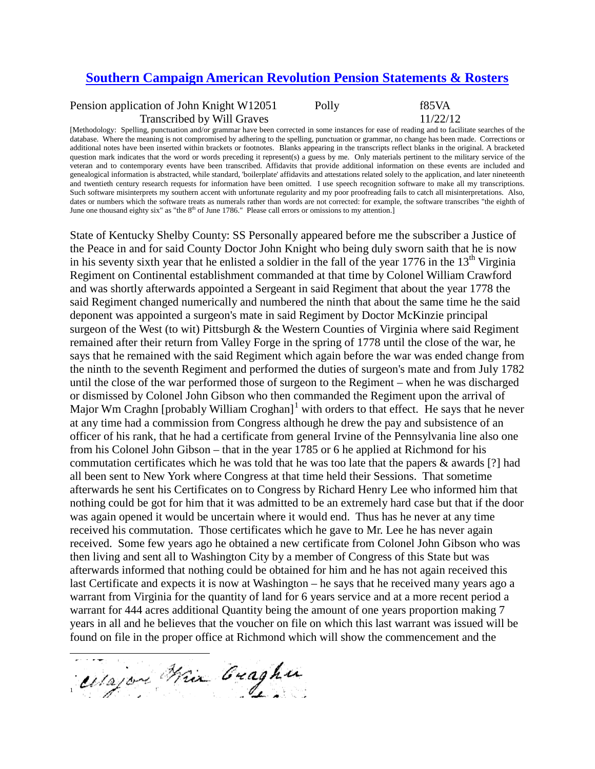## **[Southern Campaign American Revolution Pension Statements & Rosters](http://revwarapps.org/)**

Pension application of John Knight W12051 Polly F85VA Transcribed by Will Graves 11/22/12

[Methodology: Spelling, punctuation and/or grammar have been corrected in some instances for ease of reading and to facilitate searches of the database. Where the meaning is not compromised by adhering to the spelling, punctuation or grammar, no change has been made. Corrections or additional notes have been inserted within brackets or footnotes. Blanks appearing in the transcripts reflect blanks in the original. A bracketed question mark indicates that the word or words preceding it represent(s) a guess by me. Only materials pertinent to the military service of the veteran and to contemporary events have been transcribed. Affidavits that provide additional information on these events are included and genealogical information is abstracted, while standard, 'boilerplate' affidavits and attestations related solely to the application, and later nineteenth and twentieth century research requests for information have been omitted. I use speech recognition software to make all my transcriptions. Such software misinterprets my southern accent with unfortunate regularity and my poor proofreading fails to catch all misinterpretations. Also, dates or numbers which the software treats as numerals rather than words are not corrected: for example, the software transcribes "the eighth of June one thousand eighty six" as "the  $8<sup>th</sup>$  of June 1786." Please call errors or omissions to my attention.]

State of Kentucky Shelby County: SS Personally appeared before me the subscriber a Justice of the Peace in and for said County Doctor John Knight who being duly sworn saith that he is now in his seventy sixth year that he enlisted a soldier in the fall of the year  $1776$  in the  $13<sup>th</sup>$  Virginia Regiment on Continental establishment commanded at that time by Colonel William Crawford and was shortly afterwards appointed a Sergeant in said Regiment that about the year 1778 the said Regiment changed numerically and numbered the ninth that about the same time he the said deponent was appointed a surgeon's mate in said Regiment by Doctor McKinzie principal surgeon of the West (to wit) Pittsburgh & the Western Counties of Virginia where said Regiment remained after their return from Valley Forge in the spring of 1778 until the close of the war, he says that he remained with the said Regiment which again before the war was ended change from the ninth to the seventh Regiment and performed the duties of surgeon's mate and from July 1782 until the close of the war performed those of surgeon to the Regiment – when he was discharged or dismissed by Colonel John Gibson who then commanded the Regiment upon the arrival of Major Wm Craghn [probably William Croghan]<sup>[1](#page-0-0)</sup> with orders to that effect. He says that he never at any time had a commission from Congress although he drew the pay and subsistence of an officer of his rank, that he had a certificate from general Irvine of the Pennsylvania line also one from his Colonel John Gibson – that in the year 1785 or 6 he applied at Richmond for his commutation certificates which he was told that he was too late that the papers & awards [?] had all been sent to New York where Congress at that time held their Sessions. That sometime afterwards he sent his Certificates on to Congress by Richard Henry Lee who informed him that nothing could be got for him that it was admitted to be an extremely hard case but that if the door was again opened it would be uncertain where it would end. Thus has he never at any time received his commutation. Those certificates which he gave to Mr. Lee he has never again received. Some few years ago he obtained a new certificate from Colonel John Gibson who was then living and sent all to Washington City by a member of Congress of this State but was afterwards informed that nothing could be obtained for him and he has not again received this last Certificate and expects it is now at Washington – he says that he received many years ago a warrant from Virginia for the quantity of land for 6 years service and at a more recent period a warrant for 444 acres additional Quantity being the amount of one years proportion making 7 years in all and he believes that the voucher on file on which this last warrant was issued will be found on file in the proper office at Richmond which will show the commencement and the

<span id="page-0-0"></span>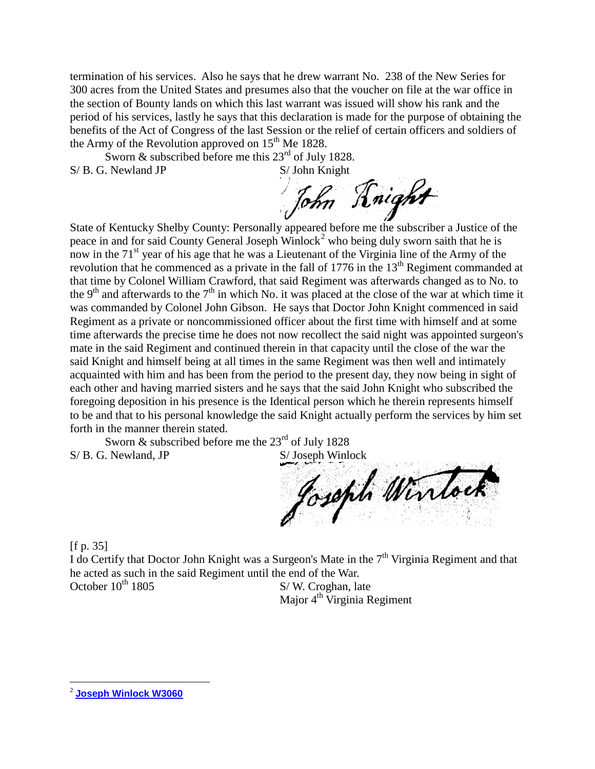termination of his services. Also he says that he drew warrant No. 238 of the New Series for 300 acres from the United States and presumes also that the voucher on file at the war office in the section of Bounty lands on which this last warrant was issued will show his rank and the period of his services, lastly he says that this declaration is made for the purpose of obtaining the benefits of the Act of Congress of the last Session or the relief of certain officers and soldiers of the Army of the Revolution approved on  $15<sup>th</sup>$  Me 1828.

Sworn & subscribed before me this  $23<sup>rd</sup>$  of July 1828.<br>
Newland JP S/John Knight  $S/B$ . G. Newland JP

John Knight

State of Kentucky Shelby County: Personally appeared before me the subscriber a Justice of the peace in and for said County General Joseph Winlock<sup>[2](#page-1-0)</sup> who being duly sworn saith that he is now in the 71<sup>st</sup> year of his age that he was a Lieutenant of the Virginia line of the Army of the revolution that he commenced as a private in the fall of 1776 in the 13<sup>th</sup> Regiment commanded at that time by Colonel William Crawford, that said Regiment was afterwards changed as to No. to the 9<sup>th</sup> and afterwards to the  $7<sup>th</sup>$  in which No. it was placed at the close of the war at which time it was commanded by Colonel John Gibson. He says that Doctor John Knight commenced in said Regiment as a private or noncommissioned officer about the first time with himself and at some time afterwards the precise time he does not now recollect the said night was appointed surgeon's mate in the said Regiment and continued therein in that capacity until the close of the war the said Knight and himself being at all times in the same Regiment was then well and intimately acquainted with him and has been from the period to the present day, they now being in sight of each other and having married sisters and he says that the said John Knight who subscribed the foregoing deposition in his presence is the Identical person which he therein represents himself to be and that to his personal knowledge the said Knight actually perform the services by him set forth in the manner therein stated.

Sworn  $\&$  subscribed before me the 23<sup>rd</sup> of July 1828

S/ B. G. Newland, JP<br>Joseph Winlock

[f p. 35]

I do Certify that Doctor John Knight was a Surgeon's Mate in the 7<sup>th</sup> Virginia Regiment and that he acted as such in the said Regiment until the end of the War.<br>October 10<sup>th</sup> 1805 S/W. Croghan, la S/W. Croghan, late

Major 4<sup>th</sup> Virginia Regiment

<span id="page-1-0"></span> <sup>2</sup> **[Joseph Winlock W3060](http://revwarapps.org/w3060.pdf)**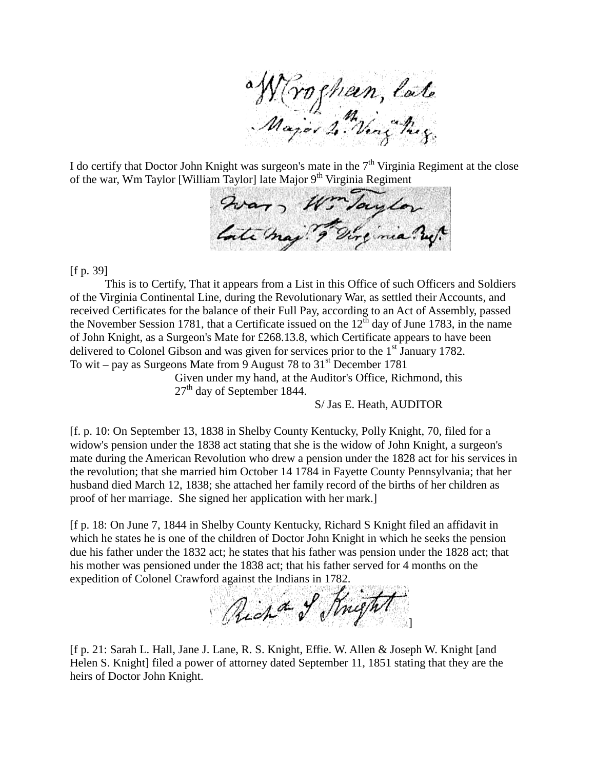a W (rocheen, late

I do certify that Doctor John Knight was surgeon's mate in the  $7<sup>th</sup>$  Virginia Regiment at the close

of the war, Wm Taylor [William Taylor] late Major 9th Virginia Regiment<br>  $Q_{i\lambda}a_{\lambda\lambda}$ , Wir Journal Contains and the Containing of the major of the main  $2\mu$ .

[f p. 39]

This is to Certify, That it appears from a List in this Office of such Officers and Soldiers of the Virginia Continental Line, during the Revolutionary War, as settled their Accounts, and received Certificates for the balance of their Full Pay, according to an Act of Assembly, passed the November Session 1781, that a Certificate issued on the  $12^{th}$  day of June 1783, in the name of John Knight, as a Surgeon's Mate for £268.13.8, which Certificate appears to have been delivered to Colonel Gibson and was given for services prior to the  $1<sup>st</sup>$  January 1782. To wit – pay as Surgeons Mate from 9 August 78 to  $31<sup>st</sup>$  December 1781

Given under my hand, at the Auditor's Office, Richmond, this 27<sup>th</sup> day of September 1844.

S/ Jas E. Heath, AUDITOR

[f. p. 10: On September 13, 1838 in Shelby County Kentucky, Polly Knight, 70, filed for a widow's pension under the 1838 act stating that she is the widow of John Knight, a surgeon's mate during the American Revolution who drew a pension under the 1828 act for his services in the revolution; that she married him October 14 1784 in Fayette County Pennsylvania; that her husband died March 12, 1838; she attached her family record of the births of her children as proof of her marriage. She signed her application with her mark.]

[f p. 18: On June 7, 1844 in Shelby County Kentucky, Richard S Knight filed an affidavit in which he states he is one of the children of Doctor John Knight in which he seeks the pension due his father under the 1832 act; he states that his father was pension under the 1828 act; that his mother was pensioned under the 1838 act; that his father served for 4 months on the expedition of Colonel Crawford against the Indians in 1782.

Richa of Knight ]

[f p. 21: Sarah L. Hall, Jane J. Lane, R. S. Knight, Effie. W. Allen & Joseph W. Knight [and Helen S. Knight] filed a power of attorney dated September 11, 1851 stating that they are the heirs of Doctor John Knight.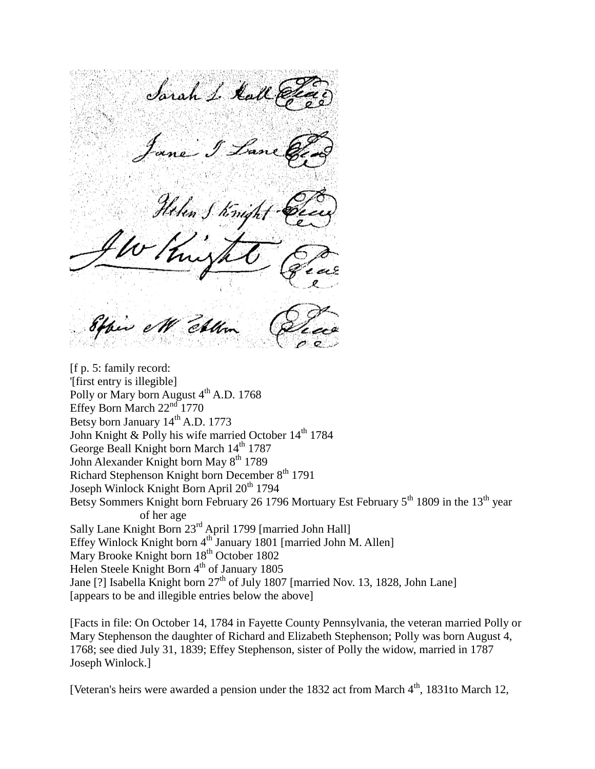Sarah L. Kall en

[f p. 5: family record: '[first entry is illegible] Polly or Mary born August 4<sup>th</sup> A.D. 1768 Effey Born March  $22<sup>nd</sup> 1770$ Betsy born January  $14^{th}$  A.D. 1773 John Knight & Polly his wife married October  $14<sup>th</sup> 1784$ George Beall Knight born March  $14<sup>th</sup> 1787$ John Alexander Knight born May 8<sup>th</sup> 1789 Richard Stephenson Knight born December 8<sup>th</sup> 1791 Joseph Winlock Knight Born April  $20<sup>th</sup> 1794$ Betsy Sommers Knight born February 26 1796 Mortuary Est February 5<sup>th</sup> 1809 in the 13<sup>th</sup> year of her age Sally Lane Knight Born 23rd April 1799 [married John Hall] Effey Winlock Knight born 4<sup>th</sup> January 1801 [married John M. Allen] Mary Brooke Knight born  $18^{th}$  October 1802 Helen Steele Knight Born 4<sup>th</sup> of January 1805 Jane [?] Isabella Knight born  $27<sup>th</sup>$  of July 1807 [married Nov. 13, 1828, John Lane] [appears to be and illegible entries below the above]

[Facts in file: On October 14, 1784 in Fayette County Pennsylvania, the veteran married Polly or Mary Stephenson the daughter of Richard and Elizabeth Stephenson; Polly was born August 4, 1768; see died July 31, 1839; Effey Stephenson, sister of Polly the widow, married in 1787 Joseph Winlock.]

[Veteran's heirs were awarded a pension under the 1832 act from March  $4<sup>th</sup>$ , 1831to March 12,